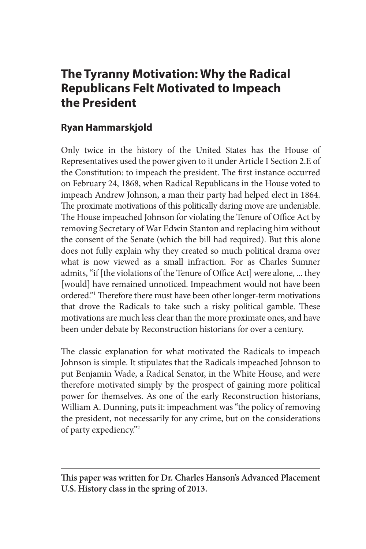# **The Tyranny Motivation: Why the Radical Republicans Felt Motivated to Impeach the President**

# **Ryan Hammarskjold**

Only twice in the history of the United States has the House of Representatives used the power given to it under Article I Section 2.E of the Constitution: to impeach the president. The first instance occurred on February 24, 1868, when Radical Republicans in the House voted to impeach Andrew Johnson, a man their party had helped elect in 1864. The proximate motivations of this politically daring move are undeniable. The House impeached Johnson for violating the Tenure of Office Act by removing Secretary of War Edwin Stanton and replacing him without the consent of the Senate (which the bill had required). But this alone does not fully explain why they created so much political drama over what is now viewed as a small infraction. For as Charles Sumner admits, "if [the violations of the Tenure of Office Act] were alone, ... they [would] have remained unnoticed. Impeachment would not have been ordered."1 Therefore there must have been other longer-term motivations that drove the Radicals to take such a risky political gamble. These motivations are much less clear than the more proximate ones, and have been under debate by Reconstruction historians for over a century.

The classic explanation for what motivated the Radicals to impeach Johnson is simple. It stipulates that the Radicals impeached Johnson to put Benjamin Wade, a Radical Senator, in the White House, and were therefore motivated simply by the prospect of gaining more political power for themselves. As one of the early Reconstruction historians, William A. Dunning, puts it: impeachment was "the policy of removing the president, not necessarily for any crime, but on the considerations of party expediency."2

**This paper was written for Dr. Charles Hanson's Advanced Placement U.S. History class in the spring of 2013.**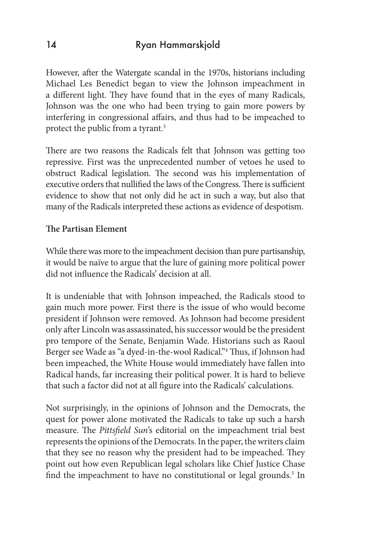However, after the Watergate scandal in the 1970s, historians including Michael Les Benedict began to view the Johnson impeachment in a different light. They have found that in the eyes of many Radicals, Johnson was the one who had been trying to gain more powers by interfering in congressional affairs, and thus had to be impeached to protect the public from a tyrant.3

There are two reasons the Radicals felt that Johnson was getting too repressive. First was the unprecedented number of vetoes he used to obstruct Radical legislation. The second was his implementation of executive orders that nullified the laws of the Congress. There is sufficient evidence to show that not only did he act in such a way, but also that many of the Radicals interpreted these actions as evidence of despotism.

### **The Partisan Element**

While there was more to the impeachment decision than pure partisanship, it would be naïve to argue that the lure of gaining more political power did not influence the Radicals' decision at all.

It is undeniable that with Johnson impeached, the Radicals stood to gain much more power. First there is the issue of who would become president if Johnson were removed. As Johnson had become president only after Lincoln was assassinated, his successor would be the president pro tempore of the Senate, Benjamin Wade. Historians such as Raoul Berger see Wade as "a dyed-in-the-wool Radical."4 Thus, if Johnson had been impeached, the White House would immediately have fallen into Radical hands, far increasing their political power. It is hard to believe that such a factor did not at all figure into the Radicals' calculations.

Not surprisingly, in the opinions of Johnson and the Democrats, the quest for power alone motivated the Radicals to take up such a harsh measure. The *Pittsfield Sun*'s editorial on the impeachment trial best represents the opinions of the Democrats. In the paper, the writers claim that they see no reason why the president had to be impeached. They point out how even Republican legal scholars like Chief Justice Chase find the impeachment to have no constitutional or legal grounds.<sup>5</sup> In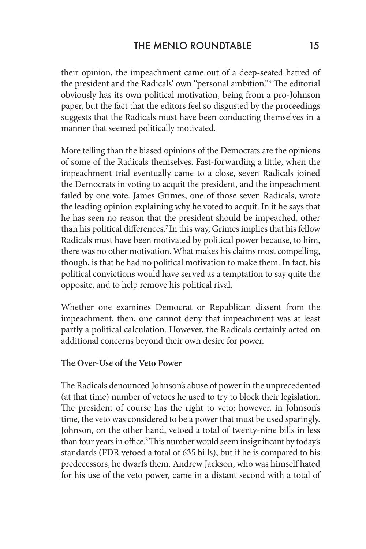their opinion, the impeachment came out of a deep-seated hatred of the president and the Radicals' own "personal ambition."6 The editorial obviously has its own political motivation, being from a pro-Johnson paper, but the fact that the editors feel so disgusted by the proceedings suggests that the Radicals must have been conducting themselves in a manner that seemed politically motivated.

More telling than the biased opinions of the Democrats are the opinions of some of the Radicals themselves. Fast-forwarding a little, when the impeachment trial eventually came to a close, seven Radicals joined the Democrats in voting to acquit the president, and the impeachment failed by one vote. James Grimes, one of those seven Radicals, wrote the leading opinion explaining why he voted to acquit. In it he says that he has seen no reason that the president should be impeached, other than his political differences.<sup>7</sup> In this way, Grimes implies that his fellow Radicals must have been motivated by political power because, to him, there was no other motivation. What makes his claims most compelling, though, is that he had no political motivation to make them. In fact, his political convictions would have served as a temptation to say quite the opposite, and to help remove his political rival.

Whether one examines Democrat or Republican dissent from the impeachment, then, one cannot deny that impeachment was at least partly a political calculation. However, the Radicals certainly acted on additional concerns beyond their own desire for power.

#### **The Over-Use of the Veto Power**

The Radicals denounced Johnson's abuse of power in the unprecedented (at that time) number of vetoes he used to try to block their legislation. The president of course has the right to veto; however, in Johnson's time, the veto was considered to be a power that must be used sparingly. Johnson, on the other hand, vetoed a total of twenty-nine bills in less than four years in office.<sup>8</sup> This number would seem insignificant by today's standards (FDR vetoed a total of 635 bills), but if he is compared to his predecessors, he dwarfs them. Andrew Jackson, who was himself hated for his use of the veto power, came in a distant second with a total of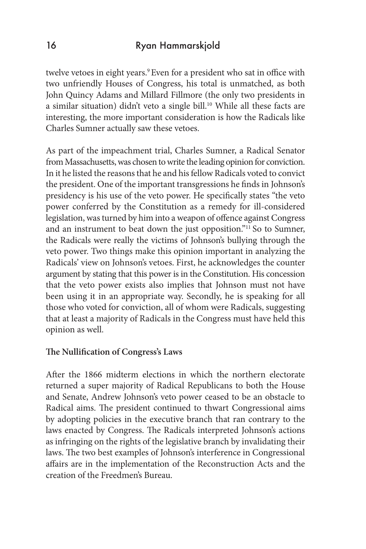twelve vetoes in eight years.<sup>9</sup> Even for a president who sat in office with two unfriendly Houses of Congress, his total is unmatched, as both John Quincy Adams and Millard Fillmore (the only two presidents in a similar situation) didn't veto a single bill.<sup>10</sup> While all these facts are interesting, the more important consideration is how the Radicals like Charles Sumner actually saw these vetoes.

As part of the impeachment trial, Charles Sumner, a Radical Senator from Massachusetts, was chosen to write the leading opinion for conviction. In it he listed the reasons that he and his fellow Radicals voted to convict the president. One of the important transgressions he finds in Johnson's presidency is his use of the veto power. He specifically states "the veto power conferred by the Constitution as a remedy for ill-considered legislation, was turned by him into a weapon of offence against Congress and an instrument to beat down the just opposition."<sup>11</sup> So to Sumner, the Radicals were really the victims of Johnson's bullying through the veto power. Two things make this opinion important in analyzing the Radicals' view on Johnson's vetoes. First, he acknowledges the counter argument by stating that this power is in the Constitution. His concession that the veto power exists also implies that Johnson must not have been using it in an appropriate way. Secondly, he is speaking for all those who voted for conviction, all of whom were Radicals, suggesting that at least a majority of Radicals in the Congress must have held this opinion as well.

#### **The Nullification of Congress's Laws**

After the 1866 midterm elections in which the northern electorate returned a super majority of Radical Republicans to both the House and Senate, Andrew Johnson's veto power ceased to be an obstacle to Radical aims. The president continued to thwart Congressional aims by adopting policies in the executive branch that ran contrary to the laws enacted by Congress. The Radicals interpreted Johnson's actions as infringing on the rights of the legislative branch by invalidating their laws. The two best examples of Johnson's interference in Congressional affairs are in the implementation of the Reconstruction Acts and the creation of the Freedmen's Bureau.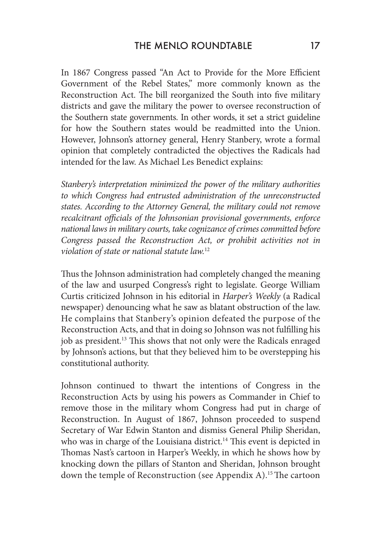In 1867 Congress passed "An Act to Provide for the More Efficient Government of the Rebel States," more commonly known as the Reconstruction Act. The bill reorganized the South into five military districts and gave the military the power to oversee reconstruction of the Southern state governments. In other words, it set a strict guideline for how the Southern states would be readmitted into the Union. However, Johnson's attorney general, Henry Stanbery, wrote a formal opinion that completely contradicted the objectives the Radicals had intended for the law. As Michael Les Benedict explains:

*Stanbery's interpretation minimized the power of the military authorities to which Congress had entrusted administration of the unreconstructed states. According to the Attorney General, the military could not remove recalcitrant officials of the Johnsonian provisional governments, enforce national laws in military courts, take cognizance of crimes committed before Congress passed the Reconstruction Act, or prohibit activities not in violation of state or national statute law.*<sup>12</sup>

Thus the Johnson administration had completely changed the meaning of the law and usurped Congress's right to legislate. George William Curtis criticized Johnson in his editorial in *Harper's Weekly* (a Radical newspaper) denouncing what he saw as blatant obstruction of the law. He complains that Stanbery's opinion defeated the purpose of the Reconstruction Acts, and that in doing so Johnson was not fulfilling his job as president.<sup>13</sup> This shows that not only were the Radicals enraged by Johnson's actions, but that they believed him to be overstepping his constitutional authority.

Johnson continued to thwart the intentions of Congress in the Reconstruction Acts by using his powers as Commander in Chief to remove those in the military whom Congress had put in charge of Reconstruction. In August of 1867, Johnson proceeded to suspend Secretary of War Edwin Stanton and dismiss General Philip Sheridan, who was in charge of the Louisiana district.<sup>14</sup> This event is depicted in Thomas Nast's cartoon in Harper's Weekly, in which he shows how by knocking down the pillars of Stanton and Sheridan, Johnson brought down the temple of Reconstruction (see Appendix A).<sup>15</sup> The cartoon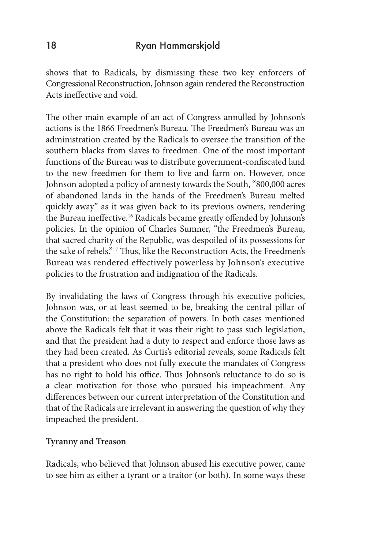shows that to Radicals, by dismissing these two key enforcers of Congressional Reconstruction, Johnson again rendered the Reconstruction Acts ineffective and void.

The other main example of an act of Congress annulled by Johnson's actions is the 1866 Freedmen's Bureau. The Freedmen's Bureau was an administration created by the Radicals to oversee the transition of the southern blacks from slaves to freedmen. One of the most important functions of the Bureau was to distribute government-confiscated land to the new freedmen for them to live and farm on. However, once Johnson adopted a policy of amnesty towards the South, "800,000 acres of abandoned lands in the hands of the Freedmen's Bureau melted quickly away" as it was given back to its previous owners, rendering the Bureau ineffective.16 Radicals became greatly offended by Johnson's policies. In the opinion of Charles Sumner, "the Freedmen's Bureau, that sacred charity of the Republic, was despoiled of its possessions for the sake of rebels."17 Thus, like the Reconstruction Acts, the Freedmen's Bureau was rendered effectively powerless by Johnson's executive policies to the frustration and indignation of the Radicals.

By invalidating the laws of Congress through his executive policies, Johnson was, or at least seemed to be, breaking the central pillar of the Constitution: the separation of powers. In both cases mentioned above the Radicals felt that it was their right to pass such legislation, and that the president had a duty to respect and enforce those laws as they had been created. As Curtis's editorial reveals, some Radicals felt that a president who does not fully execute the mandates of Congress has no right to hold his office. Thus Johnson's reluctance to do so is a clear motivation for those who pursued his impeachment. Any differences between our current interpretation of the Constitution and that of the Radicals are irrelevant in answering the question of why they impeached the president.

#### **Tyranny and Treason**

Radicals, who believed that Johnson abused his executive power, came to see him as either a tyrant or a traitor (or both). In some ways these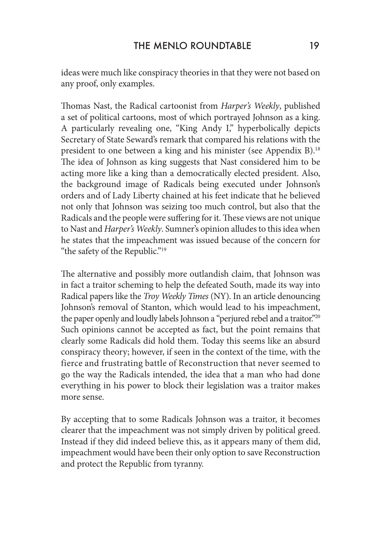ideas were much like conspiracy theories in that they were not based on any proof, only examples.

Thomas Nast, the Radical cartoonist from *Harper's Weekly*, published a set of political cartoons, most of which portrayed Johnson as a king. A particularly revealing one, "King Andy I," hyperbolically depicts Secretary of State Seward's remark that compared his relations with the president to one between a king and his minister (see Appendix B).<sup>18</sup> The idea of Johnson as king suggests that Nast considered him to be acting more like a king than a democratically elected president. Also, the background image of Radicals being executed under Johnson's orders and of Lady Liberty chained at his feet indicate that he believed not only that Johnson was seizing too much control, but also that the Radicals and the people were suffering for it. These views are not unique to Nast and *Harper's Weekly*. Sumner's opinion alludes to this idea when he states that the impeachment was issued because of the concern for "the safety of the Republic."19

The alternative and possibly more outlandish claim, that Johnson was in fact a traitor scheming to help the defeated South, made its way into Radical papers like the *Troy Weekly Times* (NY). In an article denouncing Johnson's removal of Stanton, which would lead to his impeachment, the paper openly and loudly labels Johnson a "perjured rebel and a traitor."<sup>20</sup> Such opinions cannot be accepted as fact, but the point remains that clearly some Radicals did hold them. Today this seems like an absurd conspiracy theory; however, if seen in the context of the time, with the fierce and frustrating battle of Reconstruction that never seemed to go the way the Radicals intended, the idea that a man who had done everything in his power to block their legislation was a traitor makes more sense.

By accepting that to some Radicals Johnson was a traitor, it becomes clearer that the impeachment was not simply driven by political greed. Instead if they did indeed believe this, as it appears many of them did, impeachment would have been their only option to save Reconstruction and protect the Republic from tyranny.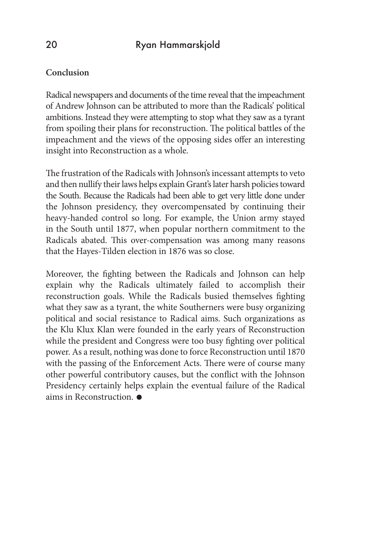## **Conclusion**

Radical newspapers and documents of the time reveal that the impeachment of Andrew Johnson can be attributed to more than the Radicals' political ambitions. Instead they were attempting to stop what they saw as a tyrant from spoiling their plans for reconstruction. The political battles of the impeachment and the views of the opposing sides offer an interesting insight into Reconstruction as a whole.

The frustration of the Radicals with Johnson's incessant attempts to veto and then nullify their laws helps explain Grant's later harsh policies toward the South. Because the Radicals had been able to get very little done under the Johnson presidency, they overcompensated by continuing their heavy-handed control so long. For example, the Union army stayed in the South until 1877, when popular northern commitment to the Radicals abated. This over-compensation was among many reasons that the Hayes-Tilden election in 1876 was so close.

Moreover, the fighting between the Radicals and Johnson can help explain why the Radicals ultimately failed to accomplish their reconstruction goals. While the Radicals busied themselves fighting what they saw as a tyrant, the white Southerners were busy organizing political and social resistance to Radical aims. Such organizations as the Klu Klux Klan were founded in the early years of Reconstruction while the president and Congress were too busy fighting over political power. As a result, nothing was done to force Reconstruction until 1870 with the passing of the Enforcement Acts. There were of course many other powerful contributory causes, but the conflict with the Johnson Presidency certainly helps explain the eventual failure of the Radical aims in Reconstruction.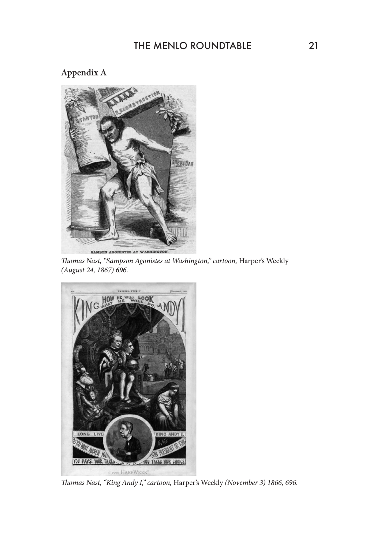# **Appendix A**



*Thomas Nast, "Sampson Agonistes at Washington," cartoon,* Harper's Weekly *(August 24, 1867) 696.*



*Thomas Nast, "King Andy I," cartoon,* Harper's Weekly *(November 3) 1866, 696.*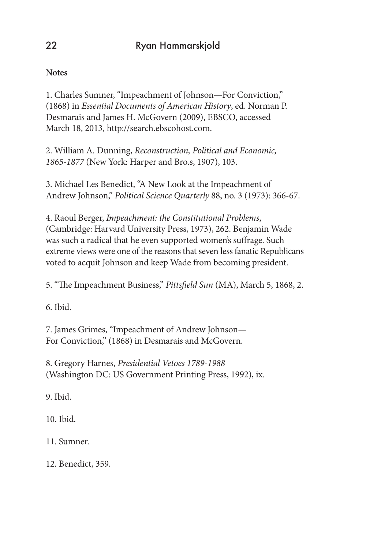# **Notes**

1. Charles Sumner, "Impeachment of Johnson—For Conviction," (1868) in *Essential Documents of American History*, ed. Norman P. Desmarais and James H. McGovern (2009), EBSCO, accessed March 18, 2013, http://search.ebscohost.com.

2. William A. Dunning, *Reconstruction, Political and Economic, 1865-1877* (New York: Harper and Bro.s, 1907), 103.

3. Michael Les Benedict, "A New Look at the Impeachment of Andrew Johnson," *Political Science Quarterly* 88, no. 3 (1973): 366-67.

4. Raoul Berger, *Impeachment: the Constitutional Problems*, (Cambridge: Harvard University Press, 1973), 262. Benjamin Wade was such a radical that he even supported women's suffrage. Such extreme views were one of the reasons that seven less fanatic Republicans voted to acquit Johnson and keep Wade from becoming president.

5. "The Impeachment Business," *Pittsfield Sun* (MA), March 5, 1868, 2.

6. Ibid.

7. James Grimes, "Impeachment of Andrew Johnson— For Conviction," (1868) in Desmarais and McGovern.

8. Gregory Harnes, *Presidential Vetoes 1789-1988* (Washington DC: US Government Printing Press, 1992), ix.

9. Ibid.

10. Ibid.

11. Sumner.

12. Benedict, 359.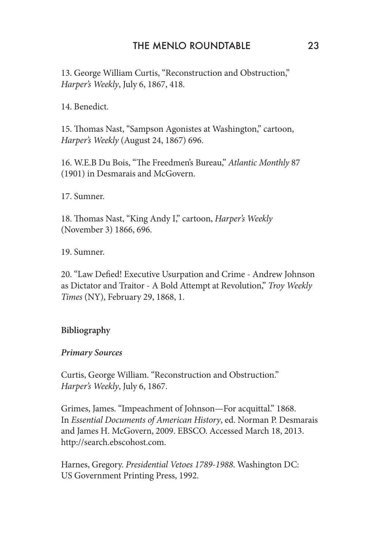13. George William Curtis, "Reconstruction and Obstruction," *Harper's Weekly*, July 6, 1867, 418.

14. Benedict.

15. Thomas Nast, "Sampson Agonistes at Washington," cartoon, *Harper's Weekly* (August 24, 1867) 696.

16. W.E.B Du Bois, "The Freedmen's Bureau," *Atlantic Monthly* 87 (1901) in Desmarais and McGovern.

17. Sumner.

18. Thomas Nast, "King Andy I," cartoon, *Harper's Weekly* (November 3) 1866, 696.

19. Sumner.

20. "Law Defied! Executive Usurpation and Crime - Andrew Johnson as Dictator and Traitor - A Bold Attempt at Revolution," *Troy Weekly Times* (NY), February 29, 1868, 1.

### **Bibliography**

#### *Primary Sources*

Curtis, George William. "Reconstruction and Obstruction." *Harper's Weekly*, July 6, 1867.

Grimes, James. "Impeachment of Johnson—For acquittal." 1868. In *Essential Documents of American History*, ed. Norman P. Desmarais and James H. McGovern, 2009. EBSCO. Accessed March 18, 2013. http://search.ebscohost.com.

Harnes, Gregory. *Presidential Vetoes 1789-1988*. Washington DC: US Government Printing Press, 1992.